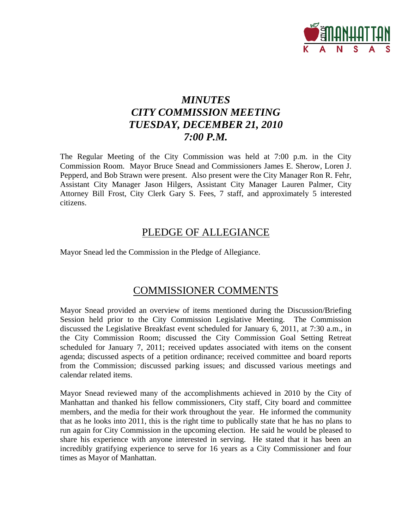

# *MINUTES CITY COMMISSION MEETING TUESDAY, DECEMBER 21, 2010 7:00 P.M.*

The Regular Meeting of the City Commission was held at 7:00 p.m. in the City Commission Room. Mayor Bruce Snead and Commissioners James E. Sherow, Loren J. Pepperd, and Bob Strawn were present. Also present were the City Manager Ron R. Fehr, Assistant City Manager Jason Hilgers, Assistant City Manager Lauren Palmer, City Attorney Bill Frost, City Clerk Gary S. Fees, 7 staff, and approximately 5 interested citizens.

## PLEDGE OF ALLEGIANCE

Mayor Snead led the Commission in the Pledge of Allegiance.

## COMMISSIONER COMMENTS

Mayor Snead provided an overview of items mentioned during the Discussion/Briefing Session held prior to the City Commission Legislative Meeting. The Commission discussed the Legislative Breakfast event scheduled for January 6, 2011, at 7:30 a.m., in the City Commission Room; discussed the City Commission Goal Setting Retreat scheduled for January 7, 2011; received updates associated with items on the consent agenda; discussed aspects of a petition ordinance; received committee and board reports from the Commission; discussed parking issues; and discussed various meetings and calendar related items.

Mayor Snead reviewed many of the accomplishments achieved in 2010 by the City of Manhattan and thanked his fellow commissioners, City staff, City board and committee members, and the media for their work throughout the year. He informed the community that as he looks into 2011, this is the right time to publically state that he has no plans to run again for City Commission in the upcoming election. He said he would be pleased to share his experience with anyone interested in serving. He stated that it has been an incredibly gratifying experience to serve for 16 years as a City Commissioner and four times as Mayor of Manhattan.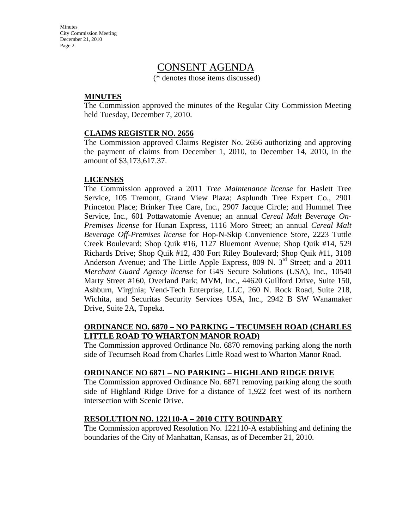**Minutes** City Commission Meeting December 21, 2010 Page 2

### CONSENT AGENDA

(\* denotes those items discussed)

#### **MINUTES**

The Commission approved the minutes of the Regular City Commission Meeting held Tuesday, December 7, 2010.

#### **CLAIMS REGISTER NO. 2656**

The Commission approved Claims Register No. 2656 authorizing and approving the payment of claims from December 1, 2010, to December 14, 2010, in the amount of \$3,173,617.37.

#### **LICENSES**

The Commission approved a 2011 *Tree Maintenance license* for Haslett Tree Service, 105 Tremont, Grand View Plaza; Asplundh Tree Expert Co., 2901 Princeton Place; Brinker Tree Care, Inc., 2907 Jacque Circle; and Hummel Tree Service, Inc., 601 Pottawatomie Avenue; an annual *Cereal Malt Beverage On-Premises license* for Hunan Express, 1116 Moro Street; an annual *Cereal Malt Beverage Off-Premises license* for Hop-N-Skip Convenience Store, 2223 Tuttle Creek Boulevard; Shop Quik #16, 1127 Bluemont Avenue; Shop Quik #14, 529 Richards Drive; Shop Quik #12, 430 Fort Riley Boulevard; Shop Quik #11, 3108 Anderson Avenue; and The Little Apple Express, 809 N. 3<sup>rd</sup> Street; and a 2011 *Merchant Guard Agency license* for G4S Secure Solutions (USA), Inc., 10540 Marty Street #160, Overland Park; MVM, Inc., 44620 Guilford Drive, Suite 150, Ashburn, Virginia; Vend-Tech Enterprise, LLC, 260 N. Rock Road, Suite 218, Wichita, and Securitas Security Services USA, Inc., 2942 B SW Wanamaker Drive, Suite 2A, Topeka.

#### **ORDINANCE NO. 6870 – NO PARKING – TECUMSEH ROAD (CHARLES LITTLE ROAD TO WHARTON MANOR ROAD)**

The Commission approved Ordinance No. 6870 removing parking along the north side of Tecumseh Road from Charles Little Road west to Wharton Manor Road.

#### **ORDINANCE NO 6871 – NO PARKING – HIGHLAND RIDGE DRIVE**

The Commission approved Ordinance No. 6871 removing parking along the south side of Highland Ridge Drive for a distance of 1,922 feet west of its northern intersection with Scenic Drive.

#### **RESOLUTION NO. 122110-A – 2010 CITY BOUNDARY**

The Commission approved Resolution No. 122110-A establishing and defining the boundaries of the City of Manhattan, Kansas, as of December 21, 2010.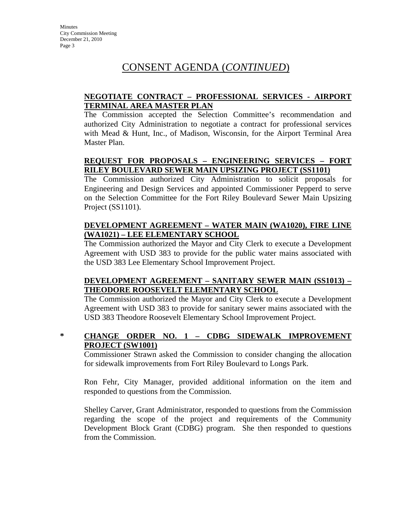# CONSENT AGENDA (*CONTINUED*)

### **NEGOTIATE CONTRACT – PROFESSIONAL SERVICES - AIRPORT TERMINAL AREA MASTER PLAN**

The Commission accepted the Selection Committee's recommendation and authorized City Administration to negotiate a contract for professional services with Mead & Hunt, Inc., of Madison, Wisconsin, for the Airport Terminal Area Master Plan.

### **REQUEST FOR PROPOSALS – ENGINEERING SERVICES – FORT RILEY BOULEVARD SEWER MAIN UPSIZING PROJECT (SS1101)**

The Commission authorized City Administration to solicit proposals for Engineering and Design Services and appointed Commissioner Pepperd to serve on the Selection Committee for the Fort Riley Boulevard Sewer Main Upsizing Project (SS1101).

### **DEVELOPMENT AGREEMENT – WATER MAIN (WA1020), FIRE LINE (WA1021) – LEE ELEMENTARY SCHOOL**

The Commission authorized the Mayor and City Clerk to execute a Development Agreement with USD 383 to provide for the public water mains associated with the USD 383 Lee Elementary School Improvement Project.

#### **DEVELOPMENT AGREEMENT – SANITARY SEWER MAIN (SS1013) – THEODORE ROOSEVELT ELEMENTARY SCHOOL**

The Commission authorized the Mayor and City Clerk to execute a Development Agreement with USD 383 to provide for sanitary sewer mains associated with the USD 383 Theodore Roosevelt Elementary School Improvement Project.

### **\* CHANGE ORDER NO. 1 – CDBG SIDEWALK IMPROVEMENT PROJECT (SW1001)**

Commissioner Strawn asked the Commission to consider changing the allocation for sidewalk improvements from Fort Riley Boulevard to Longs Park.

Ron Fehr, City Manager, provided additional information on the item and responded to questions from the Commission.

Shelley Carver, Grant Administrator, responded to questions from the Commission regarding the scope of the project and requirements of the Community Development Block Grant (CDBG) program. She then responded to questions from the Commission.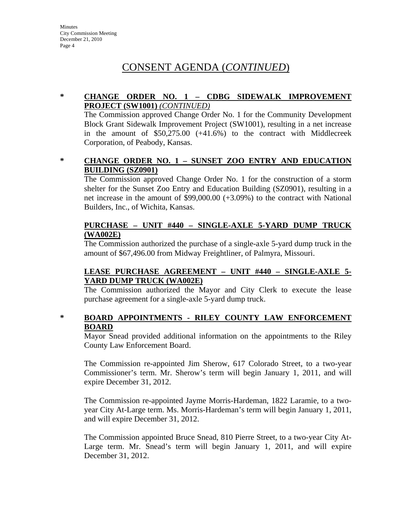# CONSENT AGENDA (*CONTINUED*)

#### **\* CHANGE ORDER NO. 1 – CDBG SIDEWALK IMPROVEMENT PROJECT (SW1001)** *(CONTINUED)*

The Commission approved Change Order No. 1 for the Community Development Block Grant Sidewalk Improvement Project (SW1001), resulting in a net increase in the amount of \$50,275.00 (+41.6%) to the contract with Middlecreek Corporation, of Peabody, Kansas.

#### **\* CHANGE ORDER NO. 1 – SUNSET ZOO ENTRY AND EDUCATION BUILDING (SZ0901)**

The Commission approved Change Order No. 1 for the construction of a storm shelter for the Sunset Zoo Entry and Education Building (SZ0901), resulting in a net increase in the amount of \$99,000.00 (+3.09%) to the contract with National Builders, Inc., of Wichita, Kansas.

#### **PURCHASE – UNIT #440 – SINGLE-AXLE 5-YARD DUMP TRUCK (WA002E)**

The Commission authorized the purchase of a single-axle 5-yard dump truck in the amount of \$67,496.00 from Midway Freightliner, of Palmyra, Missouri.

#### **LEASE PURCHASE AGREEMENT – UNIT #440 – SINGLE-AXLE 5- YARD DUMP TRUCK (WA002E)**

The Commission authorized the Mayor and City Clerk to execute the lease purchase agreement for a single-axle 5-yard dump truck.

### **\* BOARD APPOINTMENTS - RILEY COUNTY LAW ENFORCEMENT BOARD**

Mayor Snead provided additional information on the appointments to the Riley County Law Enforcement Board.

The Commission re-appointed Jim Sherow, 617 Colorado Street, to a two-year Commissioner's term. Mr. Sherow's term will begin January 1, 2011, and will expire December 31, 2012.

The Commission re-appointed Jayme Morris-Hardeman, 1822 Laramie, to a twoyear City At-Large term. Ms. Morris-Hardeman's term will begin January 1, 2011, and will expire December 31, 2012.

The Commission appointed Bruce Snead, 810 Pierre Street, to a two-year City At-Large term. Mr. Snead's term will begin January 1, 2011, and will expire December 31, 2012.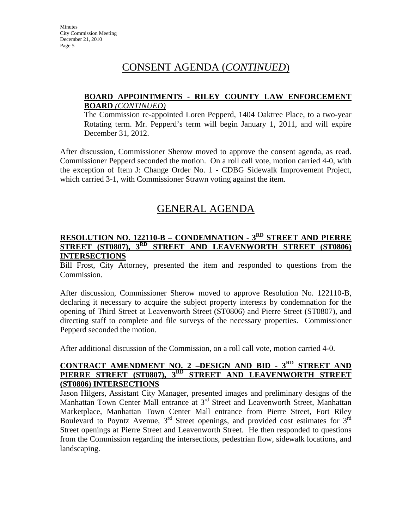# CONSENT AGENDA (*CONTINUED*)

#### **BOARD APPOINTMENTS - RILEY COUNTY LAW ENFORCEMENT BOARD** *(CONTINUED)*

The Commission re-appointed Loren Pepperd, 1404 Oaktree Place, to a two-year Rotating term. Mr. Pepperd's term will begin January 1, 2011, and will expire December 31, 2012.

After discussion, Commissioner Sherow moved to approve the consent agenda, as read. Commissioner Pepperd seconded the motion. On a roll call vote, motion carried 4-0, with the exception of Item J: Change Order No. 1 - CDBG Sidewalk Improvement Project, which carried 3-1, with Commissioner Strawn voting against the item.

## GENERAL AGENDA

#### **RESOLUTION NO. 122110-B – CONDEMNATION - 3RD STREET AND PIERRE STREET (ST0807), 3<sup>RD</sup> STREET AND LEAVENWORTH STREET (ST0806) INTERSECTIONS**

Bill Frost, City Attorney, presented the item and responded to questions from the Commission.

After discussion, Commissioner Sherow moved to approve Resolution No. 122110-B, declaring it necessary to acquire the subject property interests by condemnation for the opening of Third Street at Leavenworth Street (ST0806) and Pierre Street (ST0807), and directing staff to complete and file surveys of the necessary properties. Commissioner Pepperd seconded the motion.

After additional discussion of the Commission, on a roll call vote, motion carried 4-0.

#### **CONTRACT AMENDMENT NO. 2 –DESIGN AND BID - 3<sup>RD</sup> STREET AND PIERRE STREET (ST0807), 3<sup>RD</sup> STREET AND LEAVENWORTH STREET PIERRE STREET (ST0807), 3RD STREET AND LEAVENWORTH STREET (ST0806) INTERSECTIONS**

Jason Hilgers, Assistant City Manager, presented images and preliminary designs of the Manhattan Town Center Mall entrance at 3<sup>rd</sup> Street and Leavenworth Street, Manhattan Marketplace, Manhattan Town Center Mall entrance from Pierre Street, Fort Riley Boulevard to Poyntz Avenue,  $3<sup>rd</sup>$  Street openings, and provided cost estimates for  $3<sup>rd</sup>$ Street openings at Pierre Street and Leavenworth Street. He then responded to questions from the Commission regarding the intersections, pedestrian flow, sidewalk locations, and landscaping.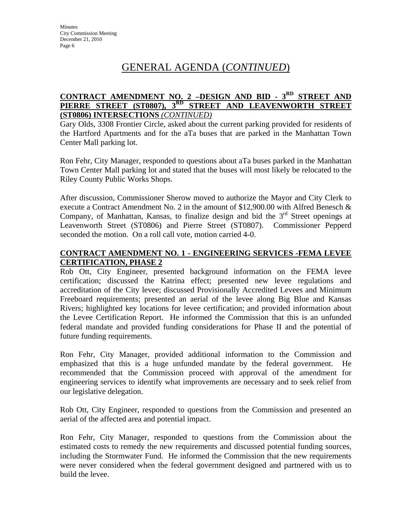# GENERAL AGENDA (*CONTINUED*)

#### **CONTRACT AMENDMENT NO. 2 –DESIGN AND BID - 3RD STREET AND PIERRE STREET (ST0807), 3RD STREET AND LEAVENWORTH STREET (ST0806) INTERSECTIONS** *(CONTINUED)*

Gary Olds, 3308 Frontier Circle, asked about the current parking provided for residents of the Hartford Apartments and for the aTa buses that are parked in the Manhattan Town Center Mall parking lot.

Ron Fehr, City Manager, responded to questions about aTa buses parked in the Manhattan Town Center Mall parking lot and stated that the buses will most likely be relocated to the Riley County Public Works Shops.

After discussion, Commissioner Sherow moved to authorize the Mayor and City Clerk to execute a Contract Amendment No. 2 in the amount of \$12,900.00 with Alfred Benesch & Company, of Manhattan, Kansas, to finalize design and bid the  $3<sup>rd</sup>$  Street openings at Leavenworth Street (ST0806) and Pierre Street (ST0807). Commissioner Pepperd seconded the motion. On a roll call vote, motion carried 4-0.

#### **CONTRACT AMENDMENT NO. 1 - ENGINEERING SERVICES -FEMA LEVEE CERTIFICATION, PHASE 2**

Rob Ott, City Engineer, presented background information on the FEMA levee certification; discussed the Katrina effect; presented new levee regulations and accreditation of the City levee; discussed Provisionally Accredited Levees and Minimum Freeboard requirements; presented an aerial of the levee along Big Blue and Kansas Rivers; highlighted key locations for levee certification; and provided information about the Levee Certification Report. He informed the Commission that this is an unfunded federal mandate and provided funding considerations for Phase II and the potential of future funding requirements.

Ron Fehr, City Manager, provided additional information to the Commission and emphasized that this is a huge unfunded mandate by the federal government. He recommended that the Commission proceed with approval of the amendment for engineering services to identify what improvements are necessary and to seek relief from our legislative delegation.

Rob Ott, City Engineer, responded to questions from the Commission and presented an aerial of the affected area and potential impact.

Ron Fehr, City Manager, responded to questions from the Commission about the estimated costs to remedy the new requirements and discussed potential funding sources, including the Stormwater Fund. He informed the Commission that the new requirements were never considered when the federal government designed and partnered with us to build the levee.